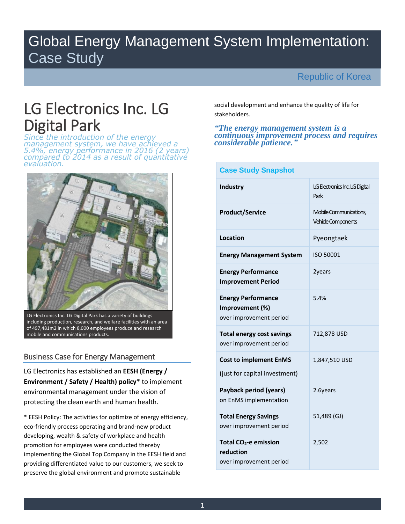# Global Energy Management System Implementation: Case Study

÷

# Republic of Korea

# LG Electronics Inc. LG Digital Park

*Since the introduction of the energy management system, we have achieved a 5.4%, energy performance in 2016 (2 years) compared to 2014 as a result of quantitative evaluation.* 



LG Electronics Inc. LG Digital Park has a variety of buildings including production, research, and welfare facilities with an area of 497,481m2 in which 8,000 employees produce and research mobile and communications products.

## Business Case for Energy Management

LG Electronics has established an **EESH (Energy / Environment / Safety / Health) policy**\* to implement environmental management under the vision of protecting the clean earth and human health.

\* EESH Policy: The activities for optimize of energy efficiency, eco-friendly process operating and brand-new product developing, wealth & safety of workplace and health promotion for employees were conducted thereby implementing the Global Top Company in the EESH field and providing differentiated value to our customers, we seek to preserve the global environment and promote sustainable

social development and enhance the quality of life for stakeholders.

#### *"The energy management system is a continuous improvement process and requires considerable patience."*

| <b>Case Study Snapshot</b>                                                |                                              |  |  |  |
|---------------------------------------------------------------------------|----------------------------------------------|--|--|--|
| <b>Industry</b>                                                           | LG Electronics Inc. LG Digital<br>Park       |  |  |  |
| <b>Product/Service</b>                                                    | Mobile Communications,<br>Vehicle Components |  |  |  |
| <b>Location</b>                                                           | Pyeongtaek                                   |  |  |  |
| <b>Energy Management System</b>                                           | ISO 50001                                    |  |  |  |
| <b>Energy Performance</b><br><b>Improvement Period</b>                    | 2years                                       |  |  |  |
| <b>Energy Performance</b><br>Improvement (%)<br>over improvement period   | 5.4%                                         |  |  |  |
| <b>Total energy cost savings</b><br>over improvement period               | 712,878 USD                                  |  |  |  |
| <b>Cost to implement EnMS</b><br>(just for capital investment)            | 1,847,510 USD                                |  |  |  |
| Payback period (years)<br>on EnMS implementation                          | 2.6years                                     |  |  |  |
| <b>Total Energy Savings</b><br>over improvement period                    | 51,489 (GJ)                                  |  |  |  |
| Total CO <sub>2</sub> -e emission<br>reduction<br>over improvement period | 2,502                                        |  |  |  |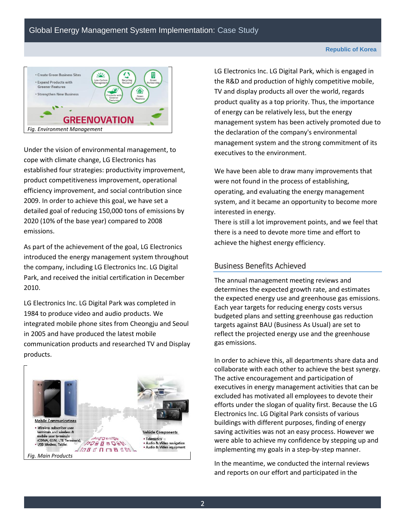

Under the vision of environmental management, to cope with climate change, LG Electronics has established four strategies: productivity improvement, product competitiveness improvement, operational efficiency improvement, and social contribution since 2009. In order to achieve this goal, we have set a detailed goal of reducing 150,000 tons of emissions by 2020 (10% of the base year) compared to 2008 emissions.

As part of the achievement of the goal, LG Electronics introduced the energy management system throughout the company, including LG Electronics Inc. LG Digital Park, and received the initial certification in December 2010.

LG Electronics Inc. LG Digital Park was completed in 1984 to produce video and audio products. We integrated mobile phone sites from Cheongju and Seoul in 2005 and have produced the latest mobile communication products and researched TV and Display products.



LG Electronics Inc. LG Digital Park, which is engaged in the R&D and production of highly competitive mobile, TV and display products all over the world, regards product quality as a top priority. Thus, the importance of energy can be relatively less, but the energy management system has been actively promoted due to the declaration of the company's environmental management system and the strong commitment of its executives to the environment.

We have been able to draw many improvements that were not found in the process of establishing, operating, and evaluating the energy management system, and it became an opportunity to become more interested in energy.

There is still a lot improvement points, and we feel that there is a need to devote more time and effort to achieve the highest energy efficiency.

## Business Benefits Achieved

The annual management meeting reviews and determines the expected growth rate, and estimates the expected energy use and greenhouse gas emissions. Each year targets for reducing energy costs versus budgeted plans and setting greenhouse gas reduction targets against BAU (Business As Usual) are set to reflect the projected energy use and the greenhouse gas emissions.

In order to achieve this, all departments share data and collaborate with each other to achieve the best synergy. The active encouragement and participation of executives in energy management activities that can be excluded has motivated all employees to devote their efforts under the slogan of quality first. Because the LG Electronics Inc. LG Digital Park consists of various buildings with different purposes, finding of energy saving activities was not an easy process. However we were able to achieve my confidence by stepping up and implementing my goals in a step-by-step manner.

In the meantime, we conducted the internal reviews and reports on our effort and participated in the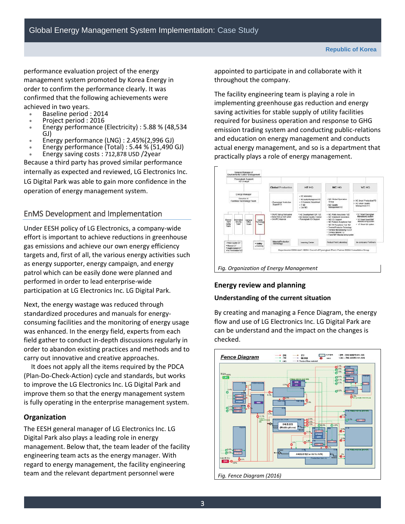performance evaluation project of the energy management system promoted by Korea Energy in order to confirm the performance clearly. It was confirmed that the following achievements were achieved in two years.

- Baseline period : 2014
- Project period : 2016
- Energy performance (Electricity) : 5.88 % (48,534 GJ)
- Energy performance (LNG) : 2.45%(2,996 GJ)
- Energy performance (Total) : 5.44 % (51,490 GJ) Energy saving costs : 712,878 USD /2year

Because a third party has proved similar performance internally as expected and reviewed, LG Electronics Inc. LG Digital Park was able to gain more confidence in the operation of energy management system.

## EnMS Development and Implementation

Under EESH policy of LG Electronics, a company-wide effort is important to achieve reductions in greenhouse gas emissions and achieve our own energy efficiency targets and, first of all, the various energy activities such as energy supporter, energy campaign, and energy patrol which can be easily done were planned and performed in order to lead enterprise-wide participation at LG Electronics Inc. LG Digital Park.

Next, the energy wastage was reduced through standardized procedures and manuals for energyconsuming facilities and the monitoring of energy usage was enhanced. In the energy field, experts from each field gather to conduct in-depth discussions regularly in order to abandon existing practices and methods and to carry out innovative and creative approaches.

It does not apply all the items required by the PDCA (Plan-Do-Check-Action) cycle and standards, but works to improve the LG Electronics Inc. LG Digital Park and improve them so that the energy management system is fully operating in the enterprise management system.

## **Organization**

The EESH general manager of LG Electronics Inc. LG Digital Park also plays a leading role in energy management. Below that, the team leader of the facility engineering team acts as the energy manager. With regard to energy management, the facility engineering team and the relevant department personnel were

appointed to participate in and collaborate with it throughout the company.

The facility engineering team is playing a role in implementing greenhouse gas reduction and energy saving activities for stable supply of utility facilities required for business operation and response to GHG emission trading system and conducting public-relations and education on energy management and conducts actual energy management, and so is a department that practically plays a role of energy management.



*Fig. Organization of Energy Management* 

## **Energy review and planning**

## **Understanding of the current situation**

By creating and managing a Fence Diagram, the energy flow and use of LG Electronics Inc. LG Digital Park are can be understand and the impact on the changes is checked.

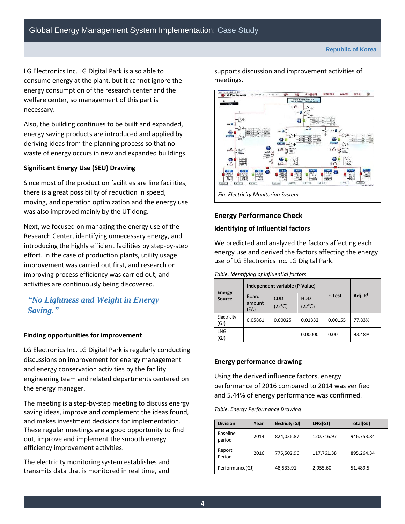LG Electronics Inc. LG Digital Park is also able to consume energy at the plant, but it cannot ignore the energy consumption of the research center and the welfare center, so management of this part is necessary.

Also, the building continues to be built and expanded, energy saving products are introduced and applied by deriving ideas from the planning process so that no waste of energy occurs in new and expanded buildings.

#### **Significant Energy Use (SEU) Drawing**

Since most of the production facilities are line facilities, there is a great possibility of reduction in speed, moving, and operation optimization and the energy use was also improved mainly by the UT dong.

Next, we focused on managing the energy use of the Research Center, identifying unnecessary energy, and introducing the highly efficient facilities by step-by-step effort. In the case of production plants, utility usage improvement was carried out first, and research on improving process efficiency was carried out, and activities are continuously being discovered.

# *"No Lightness and Weight in Energy Saving."*

#### **Finding opportunities for improvement**

LG Electronics Inc. LG Digital Park is regularly conducting discussions on improvement for energy management and energy conservation activities by the facility engineering team and related departments centered on the energy manager.

The meeting is a step-by-step meeting to discuss energy saving ideas, improve and complement the ideas found, and makes investment decisions for implementation. These regular meetings are a good opportunity to find out, improve and implement the smooth energy efficiency improvement activities.

The electricity monitoring system establishes and transmits data that is monitored in real time, and

supports discussion and improvement activities of meetings.



## **Energy Performance Check**

#### **Identifying of Influential factors**

We predicted and analyzed the factors affecting each energy use and derived the factors affecting the energy use of LG Electronics Inc. LG Digital Park.

*Table. Identifying of Influential factors*

| <b>Energy</b><br><b>Source</b> | Independent variable (P-Value) |                               |                               |         |            |
|--------------------------------|--------------------------------|-------------------------------|-------------------------------|---------|------------|
|                                | <b>Board</b><br>amount<br>(EA) | <b>CDD</b><br>$(22^{\circ}C)$ | <b>HDD</b><br>$(22^{\circ}C)$ | F Test  | Adj. $R^2$ |
| Electricity<br>(GJ)            | 0.05861                        | 0.00025                       | 0.01332                       | 0.00155 | 77.83%     |
| <b>LNG</b><br>(GJ)             |                                |                               | 0.00000                       | 0.00    | 93.48%     |

#### **Energy performance drawing**

Using the derived influence factors, energy performance of 2016 compared to 2014 was verified and 5.44% of energy performance was confirmed.

*Table. Energy Performance Drawing*

| <b>Division</b>           | Year | Electricity (GJ) | LNG(GJ)    | Total(GJ)  |  |
|---------------------------|------|------------------|------------|------------|--|
| <b>Baseline</b><br>period | 2014 | 824,036.87       | 120,716.97 | 946,753.84 |  |
| Report<br>Period          | 2016 | 775,502.96       | 117,761.38 | 895,264.34 |  |
| Performance(GJ)           |      | 48,533.91        | 2,955.60   | 51,489.5   |  |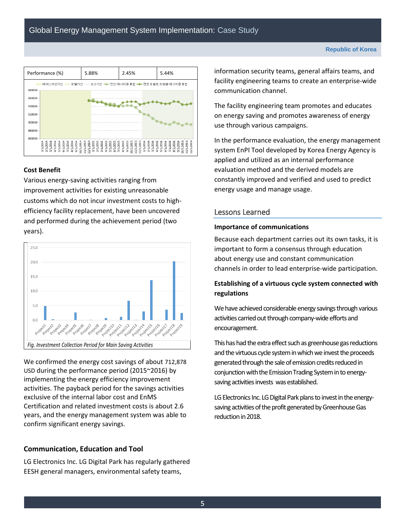

#### **Cost Benefit**

Various energy-saving activities ranging from improvement activities for existing unreasonable customs which do not incur investment costs to highefficiency facility replacement, have been uncovered and performed during the achievement period (two years).



We confirmed the energy cost savings of about 712,878 USD during the performance period (2015~2016) by implementing the energy efficiency improvement activities. The payback period for the savings activities exclusive of the internal labor cost and EnMS Certification and related investment costs is about 2.6 years, and the energy management system was able to confirm significant energy savings.

## **Communication, Education and Tool**

LG Electronics Inc. LG Digital Park has regularly gathered EESH general managers, environmental safety teams,

information security teams, general affairs teams, and facility engineering teams to create an enterprise-wide communication channel.

The facility engineering team promotes and educates on energy saving and promotes awareness of energy use through various campaigns.

In the performance evaluation, the energy management system EnPI Tool developed by Korea Energy Agency is applied and utilized as an internal performance evaluation method and the derived models are constantly improved and verified and used to predict energy usage and manage usage.

#### Lessons Learned

#### **Importance of communications**

Because each department carries out its own tasks, it is important to form a consensus through education about energy use and constant communication channels in order to lead enterprise-wide participation.

## **Establishing of a virtuous cycle system connected with regulations**

We have achieved considerable energy savings through various activities carried out through company-wide efforts and encouragement.

This has had the extra effect such as greenhouse gas reductions and the virtuous cycle system in which we invest the proceeds generated through the sale of emission credits reduced in conjunction with the Emission Trading System in to energysaving activities invests was established.

LG Electronics Inc. LG Digital Park plans to invest in the energysaving activities of the profit generated by Greenhouse Gas reduction in 2018.